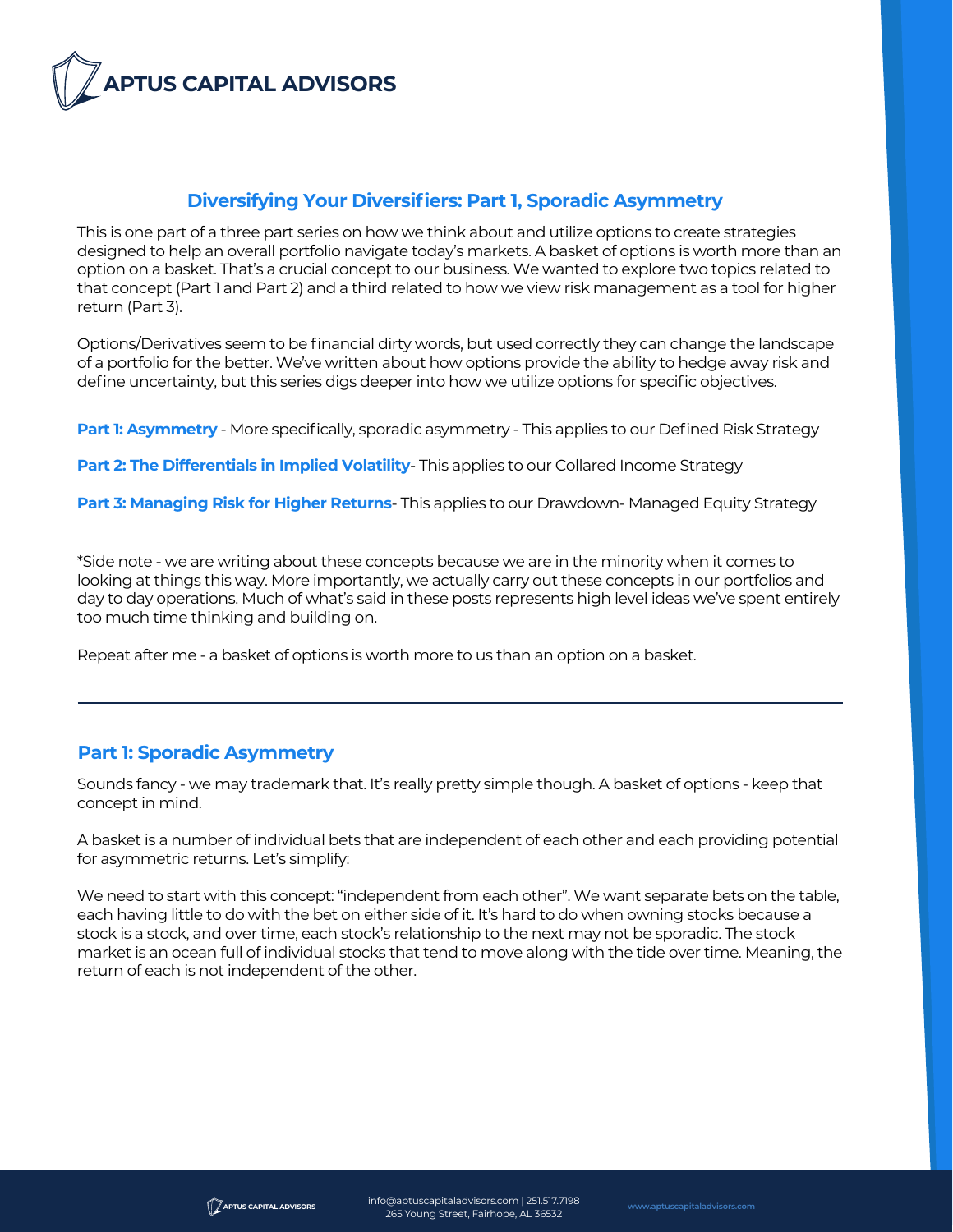

## **Diversifying Your Diversifiers: Part 1, Sporadic Asymmetry**

This is one part of a three part series on how we think about and utilize options to create strategies designed to help an overall portfolio navigate today's markets. A basket of options is worth more than an option on a basket. That's a crucial concept to our business. We wanted to explore two topics related to that concept (Part 1 and Part 2) and a third related to how we view risk management as a tool for higher return (Part 3).

Options/Derivatives seem to be financial dirty words, but used correctly they can change the landscape of a portfolio for the better. We've written about how options provide the ability to hedge away risk and define uncertainty, but this series digs deeper into how we utilize options for specific objectives.

**Part 1: Asymmetry** - More specifically, sporadic asymmetry - This applies to our Defined Risk Strategy

**Part 2: The Differentials in Implied Volatility**- This applies to our Collared Income Strategy

**Part 3: Managing Risk for Higher Returns**- This applies to our Drawdown- Managed Equity Strategy

\*Side note - we are writing about these concepts because we are in the minority when it comes to looking at things this way. More importantly, we actually carry out these concepts in our portfolios and day to day operations. Much of what's said in these posts represents high level ideas we've spent entirely too much time thinking and building on.

Repeat after me - a basket of options is worth more to us than an option on a basket.

# **Part 1: Sporadic Asymmetry**

Sounds fancy - we may trademark that. It's really pretty simple though. A basket of options - keep that concept in mind.

A basket is a number of individual bets that are independent of each other and each providing potential for asymmetric returns. Let's simplify:

We need to start with this concept: "independent from each other". We want separate bets on the table, each having little to do with the bet on either side of it. It's hard to do when owning stocks because a stock is a stock, and over time, each stock's relationship to the next may not be sporadic. The stock market is an ocean full of individual stocks that tend to move along with the tide over time. Meaning, the return of each is not independent of the other.



info@aptuscapitaladvisors.com | 251.517.7198 265 Young Street, Fairhope, AL <sup>36532</sup> **www.aptuscapitaladvisors.com**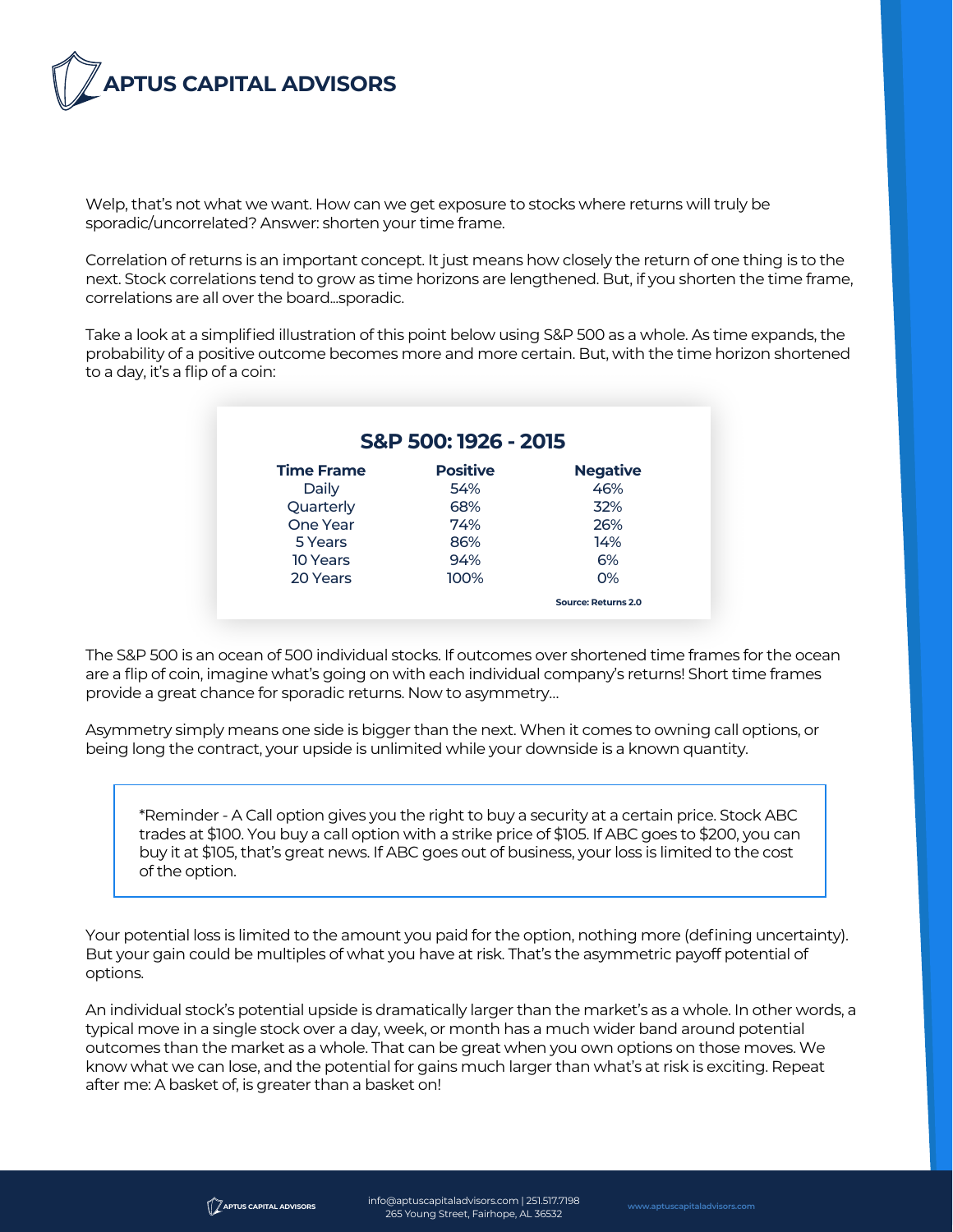

Welp, that's not what we want. How can we get exposure to stocks where returns will truly be sporadic/uncorrelated? Answer: shorten your time frame.

Correlation of returns is an important concept. It just means how closely the return of one thing is to the next. Stock correlations tend to grow as time horizons are lengthened. But, if you shorten the time frame, correlations are all over the board...sporadic.

Take a look at a simplified illustration of this point below using S&P 500 as a whole. As time expands, the probability of a positive outcome becomes more and more certain. But, with the time horizon shortened to a day, it's a flip of a coin:

| S&P 500: 1926 - 2015 |                 |                 |
|----------------------|-----------------|-----------------|
| <b>Time Frame</b>    | <b>Positive</b> | <b>Negative</b> |
| Daily                | 54%             | 46%             |
| Quarterly            | 68%             | 32%             |
| One Year             | 74%             | 26%             |
| 5 Years              | 86%             | 14%             |
| 10 Years             | 94%             | 6%              |
| 20 Years             | 100%            | O%              |

The S&P 500 is an ocean of 500 individual stocks. If outcomes over shortened time frames for the ocean are a flip of coin, imagine what's going on with each individual company's returns! Short time frames provide a great chance for sporadic returns. Now to asymmetry…

Asymmetry simply means one side is bigger than the next. When it comes to owning call options, or being long the contract, your upside is unlimited while your downside is a known quantity.

\*Reminder - A Call option gives you the right to buy a security at a certain price. Stock ABC trades at \$100. You buy a call option with a strike price of \$105. If ABC goes to \$200, you can buy it at \$105, that's great news. If ABC goes out of business, your loss is limited to the cost of the option.

Your potential loss is limited to the amount you paid for the option, nothing more (defining uncertainty). But your gain could be multiples of what you have at risk. That's the asymmetric payoff potential of options.

An individual stock's potential upside is dramatically larger than the market's as a whole. In other words, a typical move in a single stock over a day, week, or month has a much wider band around potential outcomes than the market as a whole. That can be great when you own options on those moves. We know what we can lose, and the potential for gains much larger than what's at risk is exciting. Repeat after me: A basket of, is greater than a basket on!

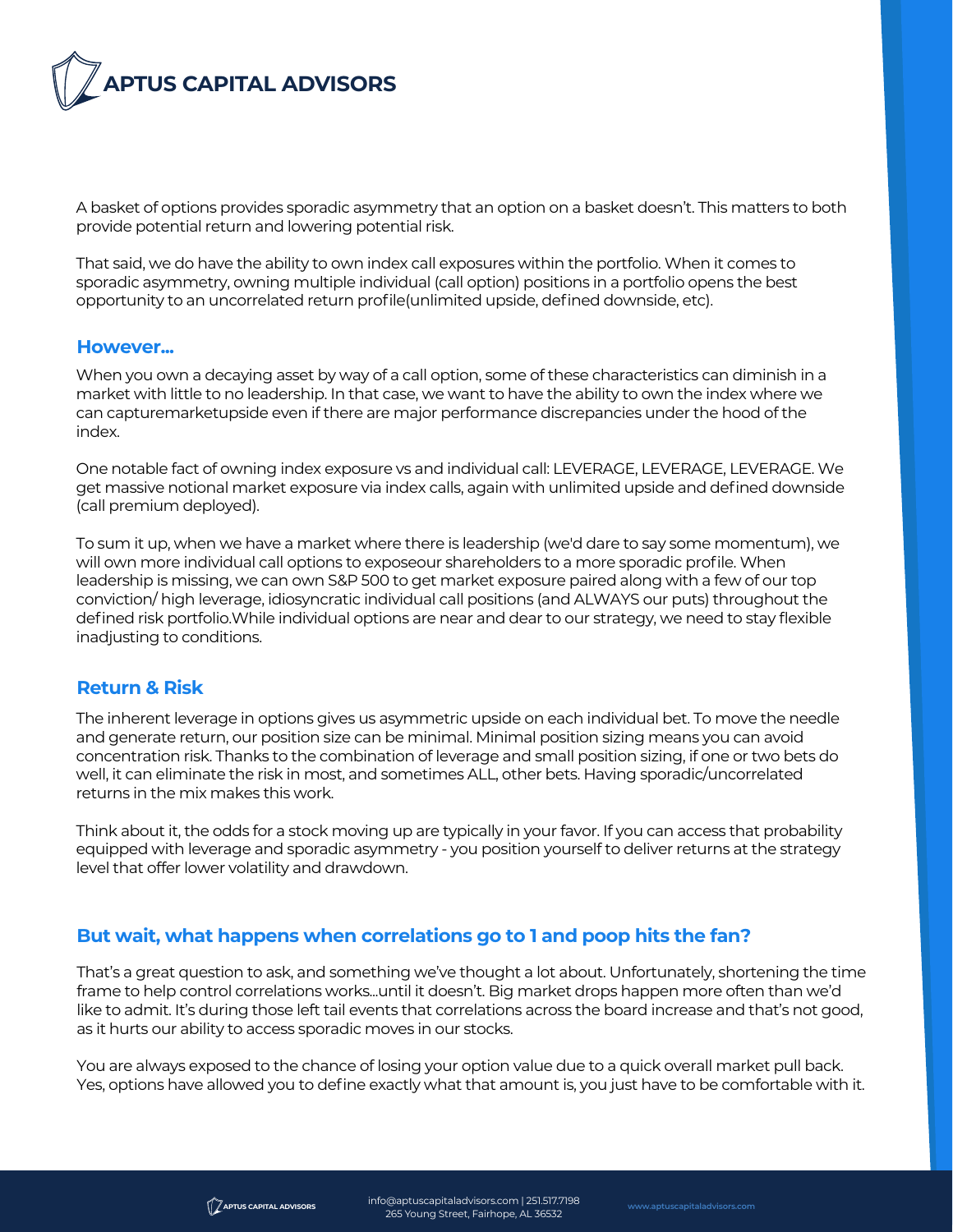

A basket of options provides sporadic asymmetry that an option on a basket doesn't. This matters to both provide potential return and lowering potential risk.

That said, we do have the ability to own index call exposures within the portfolio. When it comes to sporadic asymmetry, owning multiple individual (call option) positions in a portfolio opens the best opportunity to an uncorrelated return profile(unlimited upside, defined downside, etc).

### **However...**

When you own a decaying asset by way of a call option, some of these characteristics can diminish in a market with little to no leadership. In that case, we want to have the ability to own the index where we can capturemarketupside even if there are major performance discrepancies under the hood of the index.

One notable fact of owning index exposure vs and individual call: LEVERAGE, LEVERAGE, LEVERAGE. We get massive notional market exposure via index calls, again with unlimited upside and defined downside (call premium deployed).

To sum it up, when we have a market where there is leadership (we'd dare to say some momentum), we will own more individual call options to exposeour shareholders to a more sporadic profile. When leadership is missing, we can own S&P 500 to get market exposure paired along with a few of our top conviction/ high leverage, idiosyncratic individual call positions (and ALWAYS our puts) throughout the defined risk portfolio.While individual options are near and dear to our strategy, we need to stay flexible inadjusting to conditions.

## **Return & Risk**

The inherent leverage in options gives us asymmetric upside on each individual bet. To move the needle and generate return, our position size can be minimal. Minimal position sizing means you can avoid concentration risk. Thanks to the combination of leverage and small position sizing, if one or two bets do well, it can eliminate the risk in most, and sometimes ALL, other bets. Having sporadic/uncorrelated returns in the mix makes this work.

Think about it, the odds for a stock moving up are typically in your favor. If you can access that probability equipped with leverage and sporadic asymmetry - you position yourself to deliver returns at the strategy level that offer lower volatility and drawdown.

# **But wait, what happens when correlations go to 1 and poop hits the fan?**

That's a great question to ask, and something we've thought a lot about. Unfortunately, shortening the time frame to help control correlations works...until it doesn't. Big market drops happen more often than we'd like to admit. It's during those left tail events that correlations across the board increase and that's not good, as it hurts our ability to access sporadic moves in our stocks.

You are always exposed to the chance of losing your option value due to a quick overall market pull back. Yes, options have allowed you to define exactly what that amount is, you just have to be comfortable with it.

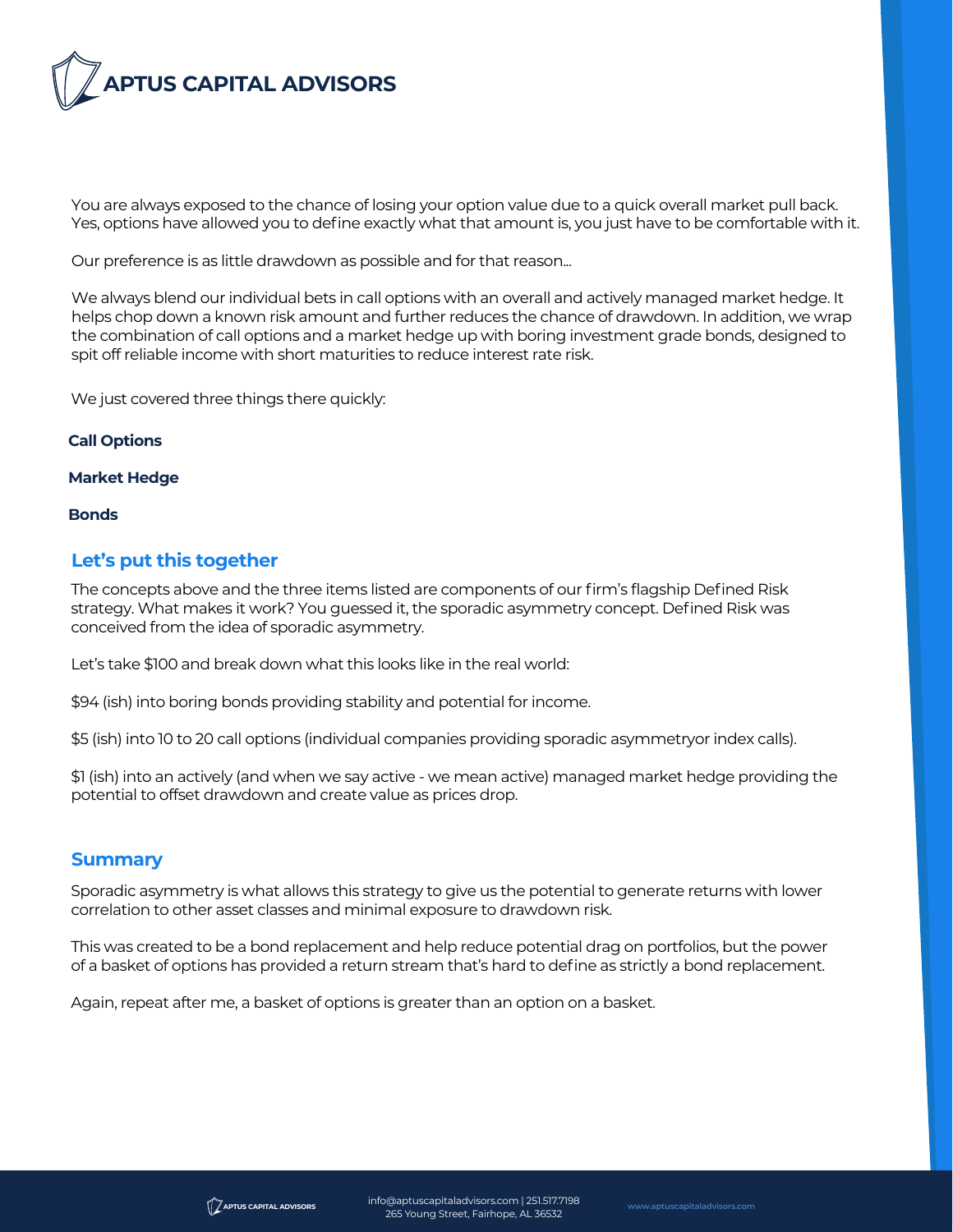

You are always exposed to the chance of losing your option value due to a quick overall market pull back. Yes, options have allowed you to define exactly what that amount is, you just have to be comfortable with it.

Our preference is as little drawdown as possible and for that reason...

We always blend our individual bets in call options with an overall and actively managed market hedge. It helps chop down a known risk amount and further reduces the chance of drawdown. In addition, we wrap the combination of call options and a market hedge up with boring investment grade bonds, designed to spit off reliable income with short maturities to reduce interest rate risk.

We just covered three things there quickly:

### **Call Options**

#### **Market Hedge**

#### **Bonds**

## **Let's put this together**

The concepts above and the three items listed are components of our firm's flagship Defined Risk strategy. What makes it work? You guessed it, the sporadic asymmetry concept. Defined Risk was conceived from the idea of sporadic asymmetry.

Let's take \$100 and break down what this looks like in the real world:

\$94 (ish) into boring bonds providing stability and potential for income.

\$5 (ish) into 10 to 20 call options (individual companies providing sporadic asymmetryor index calls).

\$1 (ish) into an actively (and when we say active - we mean active) managed market hedge providing the potential to offset drawdown and create value as prices drop.

### **Summary**

Sporadic asymmetry is what allows this strategy to give us the potential to generate returns with lower correlation to other asset classes and minimal exposure to drawdown risk.

This was created to be a bond replacement and help reduce potential drag on portfolios, but the power of a basket of options has provided a return stream that's hard to define as strictly a bond replacement.

Again, repeat after me, a basket of options is greater than an option on a basket.